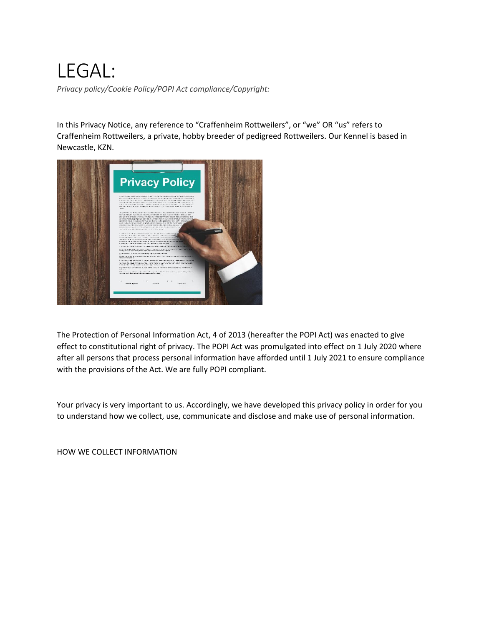# LEGAL:

*Privacy policy/Cookie Policy/POPI Act compliance/Copyright:*

In this Privacy Notice, any reference to "Craffenheim Rottweilers", or "we" OR "us" refers to Craffenheim Rottweilers, a private, hobby breeder of pedigreed Rottweilers. Our Kennel is based in Newcastle, KZN.



The Protection of Personal Information Act, 4 of 2013 (hereafter the POPI Act) was enacted to give effect to constitutional right of privacy. The POPI Act was promulgated into effect on 1 July 2020 where after all persons that process personal information have afforded until 1 July 2021 to ensure compliance with the provisions of the Act. We are fully POPI compliant.

Your privacy is very important to us. Accordingly, we have developed this privacy policy in order for you to understand how we collect, use, communicate and disclose and make use of personal information.

HOW WE COLLECT INFORMATION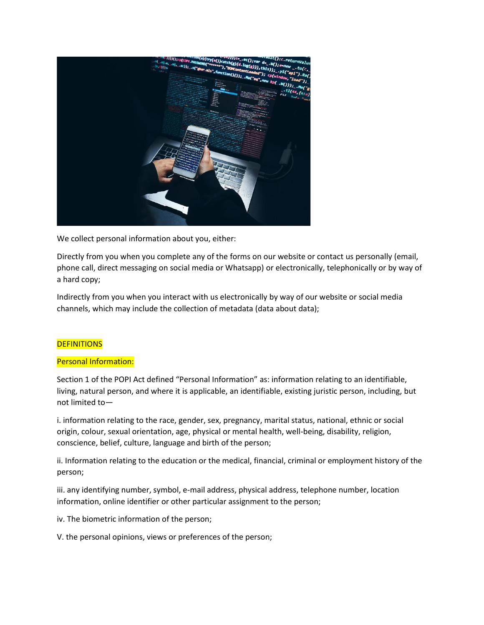

We collect personal information about you, either:

Directly from you when you complete any of the forms on our website or contact us personally (email, phone call, direct messaging on social media or Whatsapp) or electronically, telephonically or by way of a hard copy;

Indirectly from you when you interact with us electronically by way of our website or social media channels, which may include the collection of metadata (data about data);

# **DEFINITIONS**

## Personal Information:

Section 1 of the POPI Act defined "Personal Information" as: information relating to an identifiable, living, natural person, and where it is applicable, an identifiable, existing juristic person, including, but not limited to—

i. information relating to the race, gender, sex, pregnancy, marital status, national, ethnic or social origin, colour, sexual orientation, age, physical or mental health, well-being, disability, religion, conscience, belief, culture, language and birth of the person;

ii. Information relating to the education or the medical, financial, criminal or employment history of the person;

iii. any identifying number, symbol, e-mail address, physical address, telephone number, location information, online identifier or other particular assignment to the person;

iv. The biometric information of the person;

V. the personal opinions, views or preferences of the person;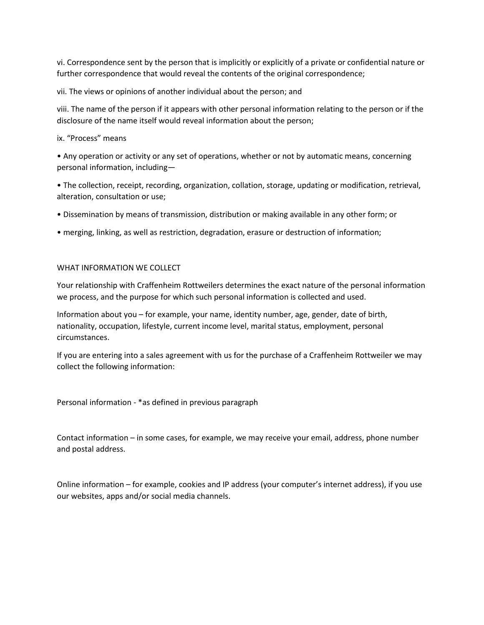vi. Correspondence sent by the person that is implicitly or explicitly of a private or confidential nature or further correspondence that would reveal the contents of the original correspondence;

vii. The views or opinions of another individual about the person; and

viii. The name of the person if it appears with other personal information relating to the person or if the disclosure of the name itself would reveal information about the person;

## ix. "Process" means

• Any operation or activity or any set of operations, whether or not by automatic means, concerning personal information, including—

• The collection, receipt, recording, organization, collation, storage, updating or modification, retrieval, alteration, consultation or use;

- Dissemination by means of transmission, distribution or making available in any other form; or
- merging, linking, as well as restriction, degradation, erasure or destruction of information;

## WHAT INFORMATION WE COLLECT

Your relationship with Craffenheim Rottweilers determines the exact nature of the personal information we process, and the purpose for which such personal information is collected and used.

Information about you – for example, your name, identity number, age, gender, date of birth, nationality, occupation, lifestyle, current income level, marital status, employment, personal circumstances.

If you are entering into a sales agreement with us for the purchase of a Craffenheim Rottweiler we may collect the following information:

Personal information - \*as defined in previous paragraph

Contact information – in some cases, for example, we may receive your email, address, phone number and postal address.

Online information – for example, cookies and IP address (your computer's internet address), if you use our websites, apps and/or social media channels.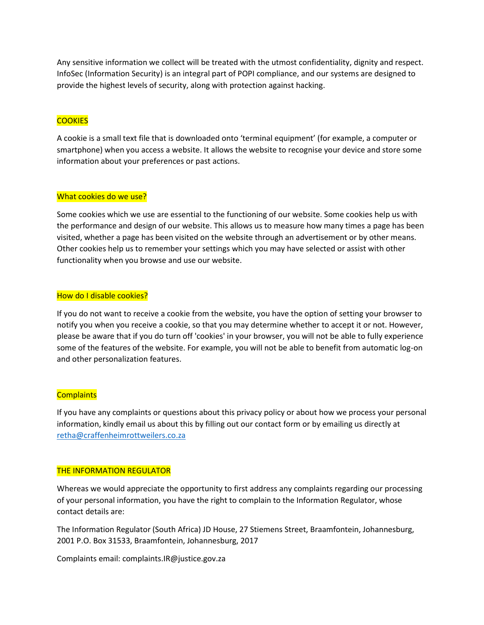Any sensitive information we collect will be treated with the utmost confidentiality, dignity and respect. InfoSec (Information Security) is an integral part of POPI compliance, and our systems are designed to provide the highest levels of security, along with protection against hacking.

# **COOKIES**

A cookie is a small text file that is downloaded onto 'terminal equipment' (for example, a computer or smartphone) when you access a website. It allows the website to recognise your device and store some information about your preferences or past actions.

### What cookies do we use?

Some cookies which we use are essential to the functioning of our website. Some cookies help us with the performance and design of our website. This allows us to measure how many times a page has been visited, whether a page has been visited on the website through an advertisement or by other means. Other cookies help us to remember your settings which you may have selected or assist with other functionality when you browse and use our website.

### How do I disable cookies?

If you do not want to receive a cookie from the website, you have the option of setting your browser to notify you when you receive a cookie, so that you may determine whether to accept it or not. However, please be aware that if you do turn off 'cookies' in your browser, you will not be able to fully experience some of the features of the website. For example, you will not be able to benefit from automatic log-on and other personalization features.

## **Complaints**

If you have any complaints or questions about this privacy policy or about how we process your personal information, kindly email us about this by filling out our contact form or by emailing us directly at retha@craffenheimrottweilers.co.za

#### THE INFORMATION REGULATOR

Whereas we would appreciate the opportunity to first address any complaints regarding our processing of your personal information, you have the right to complain to the Information Regulator, whose contact details are:

The Information Regulator (South Africa) JD House, 27 Stiemens Street, Braamfontein, Johannesburg, 2001 P.O. Box 31533, Braamfontein, Johannesburg, 2017

Complaints email: complaints.IR@justice.gov.za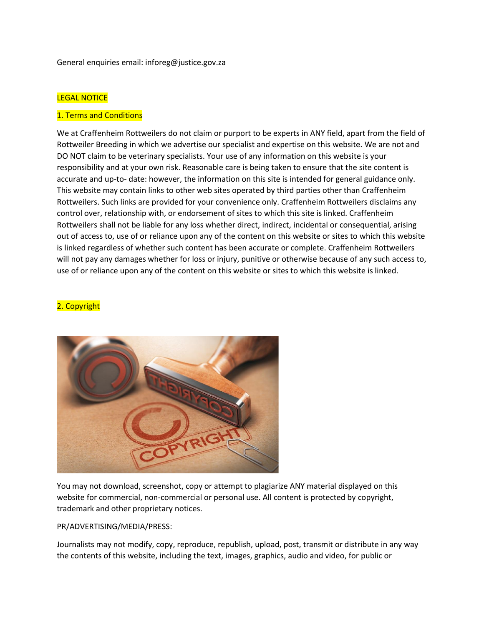General enquiries email: inforeg@justice.gov.za

### LEGAL NOTICE

#### 1. Terms and Conditions

We at Craffenheim Rottweilers do not claim or purport to be experts in ANY field, apart from the field of Rottweiler Breeding in which we advertise our specialist and expertise on this website. We are not and DO NOT claim to be veterinary specialists. Your use of any information on this website is your responsibility and at your own risk. Reasonable care is being taken to ensure that the site content is accurate and up-to- date: however, the information on this site is intended for general guidance only. This website may contain links to other web sites operated by third parties other than Craffenheim Rottweilers. Such links are provided for your convenience only. Craffenheim Rottweilers disclaims any control over, relationship with, or endorsement of sites to which this site is linked. Craffenheim Rottweilers shall not be liable for any loss whether direct, indirect, incidental or consequential, arising out of access to, use of or reliance upon any of the content on this website or sites to which this website is linked regardless of whether such content has been accurate or complete. Craffenheim Rottweilers will not pay any damages whether for loss or injury, punitive or otherwise because of any such access to, use of or reliance upon any of the content on this website or sites to which this website is linked.

### 2. Copyright



You may not download, screenshot, copy or attempt to plagiarize ANY material displayed on this website for commercial, non-commercial or personal use. All content is protected by copyright, trademark and other proprietary notices.

#### PR/ADVERTISING/MEDIA/PRESS:

Journalists may not modify, copy, reproduce, republish, upload, post, transmit or distribute in any way the contents of this website, including the text, images, graphics, audio and video, for public or